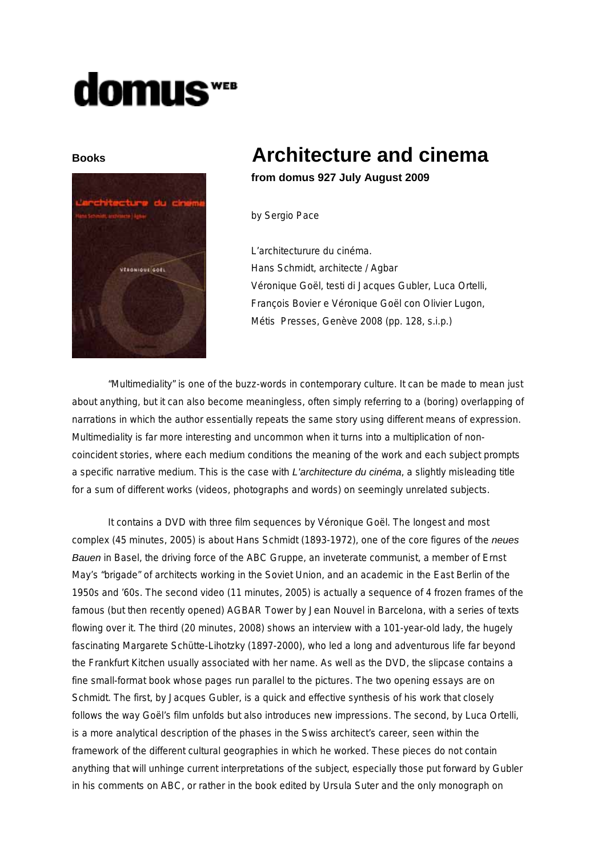## **domus**



## **Books Architecture and cinema**

**from domus 927 July August 2009**

by Sergio Pace

L'architecturure du cinéma. Hans Schmidt, architecte / Agbar Véronique Goël, testi di Jacques Gubler, Luca Ortelli, François Bovier e Véronique Goël con Olivier Lugon, Métis Presses, Genève 2008 (pp. 128, s.i.p.)

"Multimediality" is one of the buzz-words in contemporary culture. It can be made to mean just about anything, but it can also become meaningless, often simply referring to a (boring) overlapping of narrations in which the author essentially repeats the same story using different means of expression. Multimediality is far more interesting and uncommon when it turns into a multiplication of noncoincident stories, where each medium conditions the meaning of the work and each subject prompts a specific narrative medium. This is the case with *L'architecture du cinéma*, a slightly misleading title for a sum of different works (videos, photographs and words) on seemingly unrelated subjects.

It contains a DVD with three film sequences by Véronique Goël. The longest and most complex (45 minutes, 2005) is about Hans Schmidt (1893-1972), one of the core figures of the *neues Bauen* in Basel, the driving force of the ABC Gruppe, an inveterate communist, a member of Ernst May's "brigade" of architects working in the Soviet Union, and an academic in the East Berlin of the 1950s and '60s. The second video (11 minutes, 2005) is actually a sequence of 4 frozen frames of the famous (but then recently opened) AGBAR Tower by Jean Nouvel in Barcelona, with a series of texts flowing over it. The third (20 minutes, 2008) shows an interview with a 101-year-old lady, the hugely fascinating Margarete Schütte-Lihotzky (1897-2000), who led a long and adventurous life far beyond the Frankfurt Kitchen usually associated with her name. As well as the DVD, the slipcase contains a fine small-format book whose pages run parallel to the pictures. The two opening essays are on Schmidt. The first, by Jacques Gubler, is a quick and effective synthesis of his work that closely follows the way Goël's film unfolds but also introduces new impressions. The second, by Luca Ortelli, is a more analytical description of the phases in the Swiss architect's career, seen within the framework of the different cultural geographies in which he worked. These pieces do not contain anything that will unhinge current interpretations of the subject, especially those put forward by Gubler in his comments on ABC, or rather in the book edited by Ursula Suter and the only monograph on